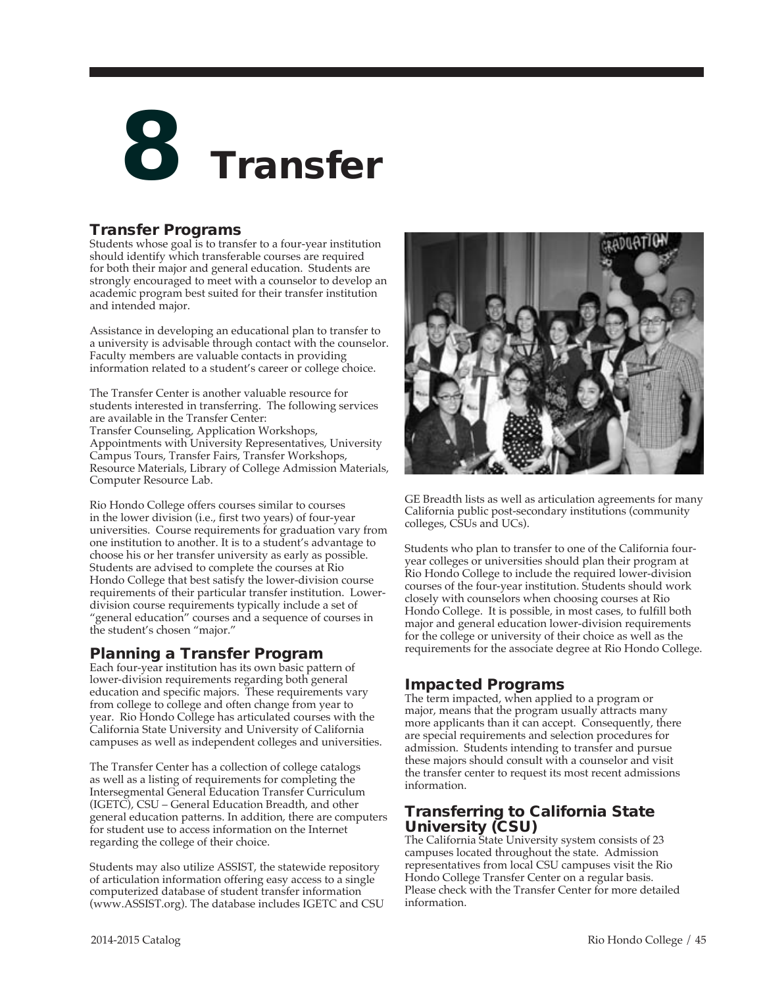

## Transfer Programs

Students whose goal is to transfer to a four-year institution should identify which transferable courses are required for both their major and general education. Students are strongly encouraged to meet with a counselor to develop an academic program best suited for their transfer institution and intended major.

Assistance in developing an educational plan to transfer to a university is advisable through contact with the counselor. Faculty members are valuable contacts in providing information related to a student's career or college choice.

The Transfer Center is another valuable resource for students interested in transferring. The following services are available in the Transfer Center: Transfer Counseling, Application Workshops, Appointments with University Representatives, University Campus Tours, Transfer Fairs, Transfer Workshops, Resource Materials, Library of College Admission Materials, Computer Resource Lab.

Rio Hondo College offers courses similar to courses in the lower division (i.e., first two years) of four-year universities. Course requirements for graduation vary from one institution to another. It is to a student's advantage to choose his or her transfer university as early as possible. Students are advised to complete the courses at Rio Hondo College that best satisfy the lower-division course requirements of their particular transfer institution. Lowerdivision course requirements typically include a set of "general education" courses and a sequence of courses in the student's chosen "major."

# Planning a Transfer Program

Each four-year institution has its own basic pattern of lower-division requirements regarding both general education and specific majors. These requirements vary from college to college and often change from year to year. Rio Hondo College has articulated courses with the California State University and University of California campuses as well as independent colleges and universities.

The Transfer Center has a collection of college catalogs as well as a listing of requirements for completing the Intersegmental General Education Transfer Curriculum (IGETC), CSU – General Education Breadth, and other general education patterns. In addition, there are computers for student use to access information on the Internet regarding the college of their choice.

Students may also utilize ASSIST, the statewide repository of articulation information offering easy access to a single computerized database of student transfer information (www.ASSIST.org). The database includes IGETC and CSU



GE Breadth lists as well as articulation agreements for many California public post-secondary institutions (community colleges, CSUs and UCs).

Students who plan to transfer to one of the California fouryear colleges or universities should plan their program at Rio Hondo College to include the required lower-division courses of the four-year institution. Students should work closely with counselors when choosing courses at Rio Hondo College. It is possible, in most cases, to fulfill both major and general education lower-division requirements for the college or university of their choice as well as the requirements for the associate degree at Rio Hondo College.

# Impacted Programs

The term impacted, when applied to a program or major, means that the program usually attracts many more applicants than it can accept. Consequently, there are special requirements and selection procedures for admission. Students intending to transfer and pursue these majors should consult with a counselor and visit the transfer center to request its most recent admissions information.

# Transferring to California State University (CSU)

The California State University system consists of 23 campuses located throughout the state. Admission representatives from local CSU campuses visit the Rio Hondo College Transfer Center on a regular basis. Please check with the Transfer Center for more detailed information.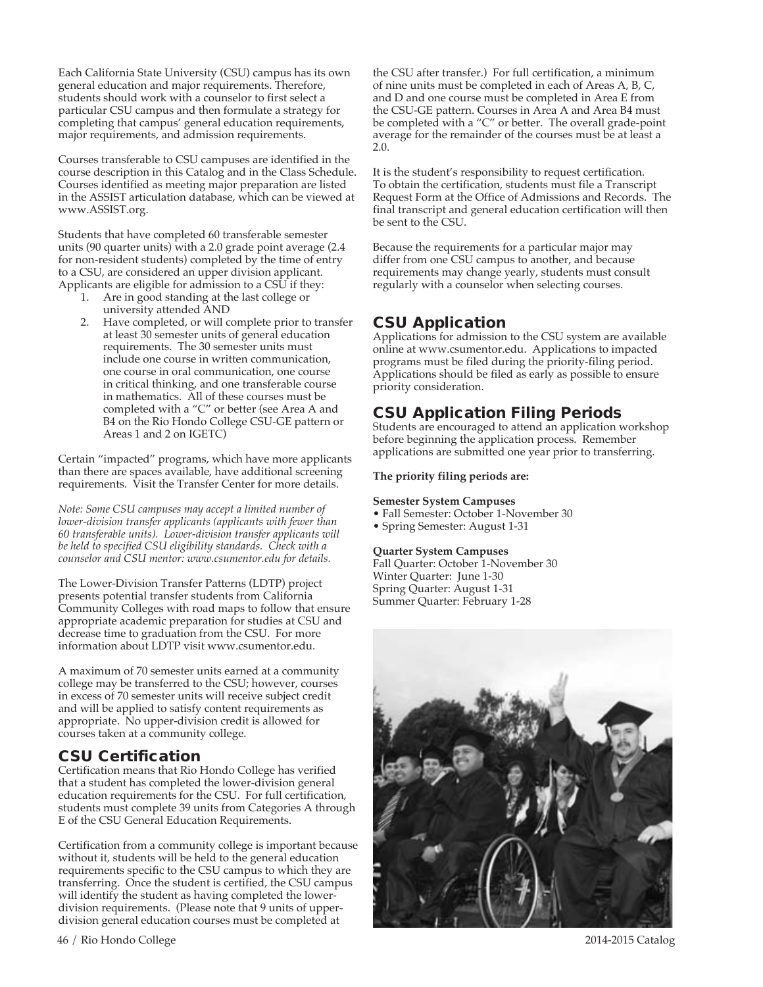Each California State University (CSU) campus has its own general education and major requirements. Therefore, students should work with a counselor to first select a particular CSU campus and then formulate a strategy for completing that campus' general education requirements, major requirements, and admission requirements.

Courses transferable to CSU campuses are identified in the course description in this Catalog and in the Class Schedule. Courses identified as meeting major preparation are listed in the ASSIST articulation database, which can be viewed at www.ASSIST.org.

Students that have completed 60 transferable semester units (90 quarter units) with a 2.0 grade point average (2.4 for non-resident students) completed by the time of entry to a CSU, are considered an upper division applicant. Applicants are eligible for admission to a CSU if they:

- 1. Are in good standing at the last college or university attended AND
- 2. Have completed, or will complete prior to transfer at least 30 semester units of general education requirements. The 30 semester units must include one course in written communication, one course in oral communication, one course in critical thinking, and one transferable course in mathematics. All of these courses must be completed with a "C" or better (see Area A and B4 on the Rio Hondo College CSU-GE pattern or Areas 1 and 2 on IGETC)

Certain "impacted" programs, which have more applicants than there are spaces available, have additional screening requirements. Visit the Transfer Center for more details.

*Note: Some CSU campuses may accept a limited number of lower-division transfer applicants (applicants with fewer than 60 transferable units). Lower-division transfer applicants will be held to specified CSU eligibility standards. Check with a counselor and CSU mentor: www.csumentor.edu for details.* 

The Lower-Division Transfer Patterns (LDTP) project presents potential transfer students from California Community Colleges with road maps to follow that ensure appropriate academic preparation for studies at CSU and decrease time to graduation from the CSU. For more information about LDTP visit www.csumentor.edu.

A maximum of 70 semester units earned at a community college may be transferred to the CSU; however, courses in excess of 70 semester units will receive subject credit and will be applied to satisfy content requirements as appropriate. No upper-division credit is allowed for courses taken at a community college.

## CSU Certification

Certification means that Rio Hondo College has verified that a student has completed the lower-division general education requirements for the CSU. For full certification, students must complete 39 units from Categories A through E of the CSU General Education Requirements.

Certification from a community college is important because without it, students will be held to the general education requirements specific to the CSU campus to which they are transferring. Once the student is certified, the CSU campus will identify the student as having completed the lowerdivision requirements. (Please note that 9 units of upperdivision general education courses must be completed at

the CSU after transfer.) For full certification, a minimum of nine units must be completed in each of Areas A, B, C, and D and one course must be completed in Area E from the CSU-GE pattern. Courses in Area A and Area B4 must be completed with a "C" or better. The overall grade-point average for the remainder of the courses must be at least a 2.0.

It is the student's responsibility to request certification. To obtain the certification, students must file a Transcript Request Form at the Office of Admissions and Records. The final transcript and general education certification will then be sent to the CSU.

Because the requirements for a particular major may differ from one CSU campus to another, and because requirements may change yearly, students must consult regularly with a counselor when selecting courses.

# CSU Application

Applications for admission to the CSU system are available online at www.csumentor.edu. Applications to impacted programs must be filed during the priority-filing period. Applications should be filed as early as possible to ensure priority consideration.

# CSU Application Filing Periods

Students are encouraged to attend an application workshop before beginning the application process. Remember applications are submitted one year prior to transferring.

### **The priority filing periods are:**

### **Semester System Campuses**

- Fall Semester: October 1-November 30
- Spring Semester: August 1-31

### **Quarter System Campuses**

Fall Quarter: October 1-November 30 Winter Quarter: June 1-30 Spring Quarter: August 1-31 Summer Quarter: February 1-28



46 / Rio Hondo College 2014-2015 Catalog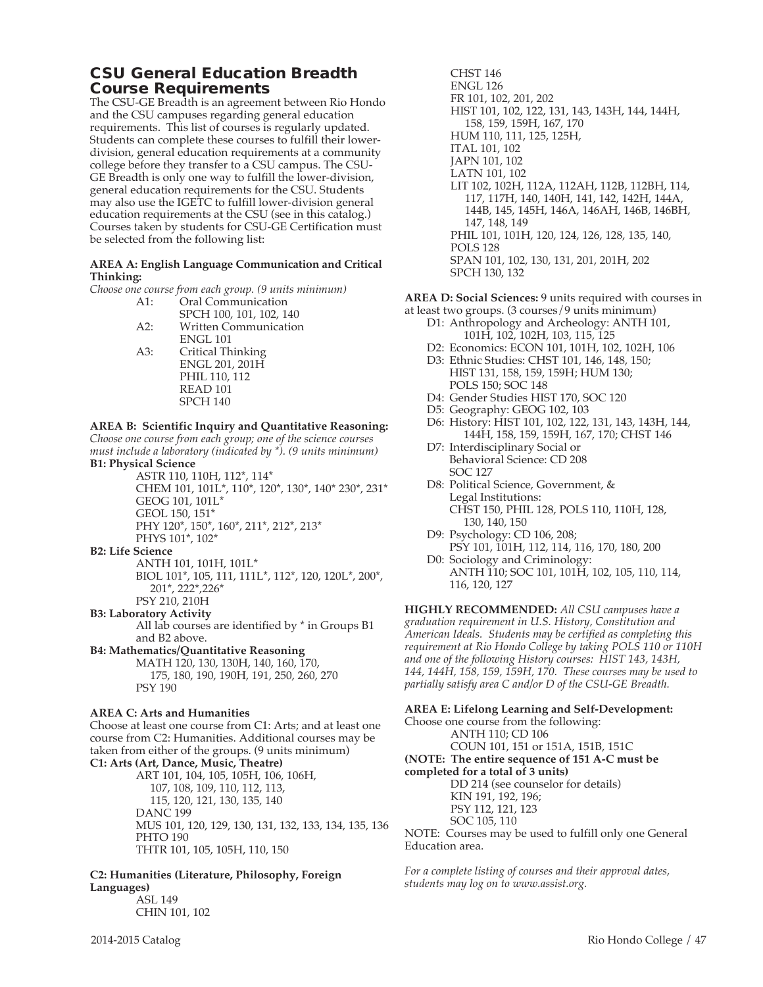## CSU General Education Breadth Course Requirements

The CSU-GE Breadth is an agreement between Rio Hondo and the CSU campuses regarding general education requirements. This list of courses is regularly updated. Students can complete these courses to fulfill their lowerdivision, general education requirements at a community college before they transfer to a CSU campus. The CSU-GE Breadth is only one way to fulfill the lower-division, general education requirements for the CSU. Students may also use the IGETC to fulfill lower-division general education requirements at the CSU (see in this catalog.) Courses taken by students for CSU-GE Certification must be selected from the following list:

#### **AREA A: English Language Communication and Critical Thinking:**

*Choose one course from each group. (9 units minimum)*

| A1: | Oral Communication           |
|-----|------------------------------|
|     | SPCH 100, 101, 102, 140      |
| A2: | <b>Written Communication</b> |
|     | <b>ENGL 101</b>              |
| A3: | Critical Thinking            |
|     | ENGL 201, 201H               |
|     | PHIL 110, 112                |
|     | READ <sub>101</sub>          |
|     | <b>SPCH 140</b>              |
|     |                              |

#### **AREA B: Scientific Inquiry and Quantitative Reasoning:**

*Choose one course from each group; one of the science courses must include a laboratory (indicated by \*). (9 units minimum)*  **B1: Physical Science**

ASTR 110, 110H, 112\*, 114\* CHEM 101, 101L\*, 110\*, 120\*, 130\*, 140\* 230\*, 231\* GEOG 101, 101L\* GEOL 150, 151\* PHY 120\*, 150\*, 160\*, 211\*, 212\*, 213\*

#### PHYS 101\*, 102\* **B2: Life Science**

ANTH 101, 101H, 101L\* BIOL 101\*, 105, 111, 111L\*, 112\*, 120, 120L\*, 200\*, 201\*, 222\*,226\* PSY 210, 210H

### **B3: Laboratory Activity**

All lab courses are identified by \* in Groups B1 and B2 above.

#### **B4: Mathematics/Quantitative Reasoning**

MATH 120, 130, 130H, 140, 160, 170, 175, 180, 190, 190H, 191, 250, 260, 270 PSY 190

#### **AREA C: Arts and Humanities**

Choose at least one course from C1: Arts; and at least one course from C2: Humanities. Additional courses may be taken from either of the groups. (9 units minimum) **C1: Arts (Art, Dance, Music, Theatre)**

ART 101, 104, 105, 105H, 106, 106H, 107, 108, 109, 110, 112, 113, 115, 120, 121, 130, 135, 140 DANC 199 MUS 101, 120, 129, 130, 131, 132, 133, 134, 135, 136 PHTO 190 THTR 101, 105, 105H, 110, 150

#### **C2: Humanities (Literature, Philosophy, Foreign Languages)** ASL 149

CHIN 101, 102

CHST 146 ENGL 126 FR 101, 102, 201, 202 HIST 101, 102, 122, 131, 143, 143H, 144, 144H, 158, 159, 159H, 167, 170 HUM 110, 111, 125, 125H, ITAL 101, 102 JAPN 101, 102 LATN 101, 102 LIT 102, 102H, 112A, 112AH, 112B, 112BH, 114, 117, 117H, 140, 140H, 141, 142, 142H, 144A, 144B, 145, 145H, 146A, 146AH, 146B, 146BH, 147, 148, 149 PHIL 101, 101H, 120, 124, 126, 128, 135, 140, POLS 128 SPAN 101, 102, 130, 131, 201, 201H, 202 SPCH 130, 132

**AREA D: Social Sciences:** 9 units required with courses in

- at least two groups. (3 courses/9 units minimum) D1: Anthropology and Archeology: ANTH 101, 101H, 102, 102H, 103, 115, 125
	- D2: Economics: ECON 101, 101H, 102, 102H, 106
	- D3: Ethnic Studies: CHST 101, 146, 148, 150; HIST 131, 158, 159, 159H; HUM 130; POLS 150; SOC 148
	- D4: Gender Studies HIST 170, SOC 120
	- D5: Geography: GEOG 102, 103
	- D6: History: HIST 101, 102, 122, 131, 143, 143H, 144, 144H, 158, 159, 159H, 167, 170; CHST 146
	- D7: Interdisciplinary Social or Behavioral Science: CD 208 SOC 127
	- D8: Political Science, Government, & Legal Institutions: CHST 150, PHIL 128, POLS 110, 110H, 128, 130, 140, 150
	- D9: Psychology: CD 106, 208; PSY 101, 101H, 112, 114, 116, 170, 180, 200 D0: Sociology and Criminology:
	- ANTH 110; SOC 101, 101H, 102, 105, 110, 114, 116, 120, 127

**HIGHLY RECOMMENDED:** *All CSU campuses have a graduation requirement in U.S. History, Constitution and American Ideals. Students may be certified as completing this requirement at Rio Hondo College by taking POLS 110 or 110H and one of the following History courses: HIST 143, 143H, 144, 144H, 158, 159, 159H, 170. These courses may be used to partially satisfy area C and/or D of the CSU-GE Breadth.*

#### **AREA E: Lifelong Learning and Self-Development:**

Choose one course from the following: ANTH 110; CD 106 COUN 101, 151 or 151A, 151B, 151C **(NOTE: The entire sequence of 151 A-C must be completed for a total of 3 units)** DD 214 (see counselor for details) KIN 191, 192, 196; PSY 112, 121, 123 SOC 105, 110

NOTE: Courses may be used to fulfill only one General Education area.

*For a complete listing of courses and their approval dates, students may log on to www.assist.org.*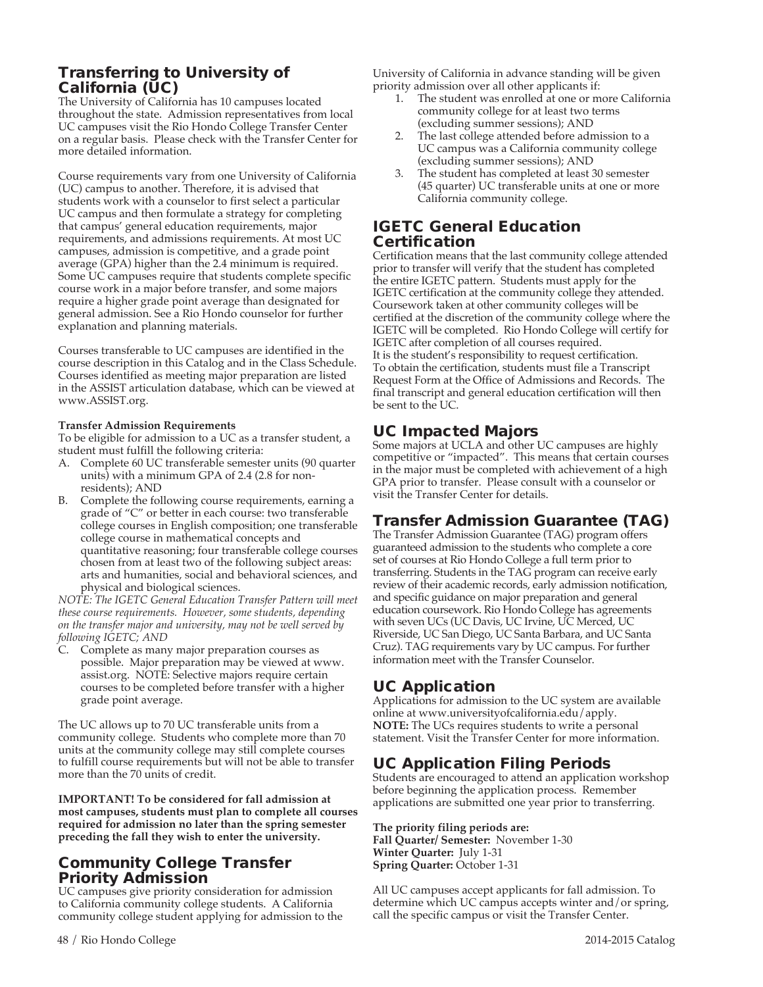# Transferring to University of California (UC)

The University of California has 10 campuses located throughout the state. Admission representatives from local UC campuses visit the Rio Hondo College Transfer Center on a regular basis. Please check with the Transfer Center for more detailed information.

Course requirements vary from one University of California (UC) campus to another. Therefore, it is advised that students work with a counselor to first select a particular UC campus and then formulate a strategy for completing that campus' general education requirements, major requirements, and admissions requirements. At most UC campuses, admission is competitive, and a grade point average (GPA) higher than the 2.4 minimum is required. Some UC campuses require that students complete specific course work in a major before transfer, and some majors require a higher grade point average than designated for general admission. See a Rio Hondo counselor for further explanation and planning materials.

Courses transferable to UC campuses are identified in the course description in this Catalog and in the Class Schedule. Courses identified as meeting major preparation are listed in the ASSIST articulation database, which can be viewed at www.ASSIST.org.

#### **Transfer Admission Requirements**

To be eligible for admission to a UC as a transfer student, a student must fulfill the following criteria:

- A. Complete 60 UC transferable semester units (90 quarter units) with a minimum GPA of 2.4 (2.8 for nonresidents); AND
- B. Complete the following course requirements, earning a grade of "C" or better in each course: two transferable college courses in English composition; one transferable college course in mathematical concepts and quantitative reasoning; four transferable college courses chosen from at least two of the following subject areas: arts and humanities, social and behavioral sciences, and physical and biological sciences.

*NOTE: The IGETC General Education Transfer Pattern will meet these course requirements. However, some students, depending on the transfer major and university, may not be well served by following IGETC; AND*

C. Complete as many major preparation courses as possible. Major preparation may be viewed at www. assist.org. NOTE: Selective majors require certain courses to be completed before transfer with a higher grade point average.

The UC allows up to 70 UC transferable units from a community college. Students who complete more than 70 units at the community college may still complete courses to fulfill course requirements but will not be able to transfer more than the 70 units of credit.

**IMPORTANT! To be considered for fall admission at most campuses, students must plan to complete all courses required for admission no later than the spring semester preceding the fall they wish to enter the university.**

## Community College Transfer Priority Admission

UC campuses give priority consideration for admission to California community college students. A California community college student applying for admission to the University of California in advance standing will be given priority admission over all other applicants if:

- The student was enrolled at one or more California community college for at least two terms (excluding summer sessions); AND
- The last college attended before admission to a UC campus was a California community college (excluding summer sessions); AND
- 3. The student has completed at least 30 semester (45 quarter) UC transferable units at one or more California community college.

### IGETC General Education Certification

Certification means that the last community college attended prior to transfer will verify that the student has completed the entire IGETC pattern. Students must apply for the IGETC certification at the community college they attended. Coursework taken at other community colleges will be certified at the discretion of the community college where the IGETC will be completed. Rio Hondo College will certify for IGETC after completion of all courses required. It is the student's responsibility to request certification. To obtain the certification, students must file a Transcript Request Form at the Office of Admissions and Records. The final transcript and general education certification will then be sent to the UC.

## UC Impacted Majors

Some majors at UCLA and other UC campuses are highly competitive or "impacted". This means that certain courses in the major must be completed with achievement of a high GPA prior to transfer. Please consult with a counselor or visit the Transfer Center for details.

# Transfer Admission Guarantee (TAG)

The Transfer Admission Guarantee (TAG) program offers guaranteed admission to the students who complete a core set of courses at Rio Hondo College a full term prior to transferring. Students in the TAG program can receive early review of their academic records, early admission notification, and specific guidance on major preparation and general education coursework. Rio Hondo College has agreements with seven UCs (UC Davis, UC Irvine, UC Merced, UC Riverside, UC San Diego, UC Santa Barbara, and UC Santa Cruz). TAG requirements vary by UC campus. For further information meet with the Transfer Counselor.

# UC Application

Applications for admission to the UC system are available online at www.universityofcalifornia.edu/apply. **NOTE:** The UCs requires students to write a personal statement. Visit the Transfer Center for more information.

# UC Application Filing Periods

Students are encouraged to attend an application workshop before beginning the application process. Remember applications are submitted one year prior to transferring.

**The priority filing periods are: Fall Quarter/ Semester:** November 1-30 **Winter Quarter:** July 1-31 **Spring Quarter:** October 1-31

All UC campuses accept applicants for fall admission. To determine which UC campus accepts winter and/or spring, call the specific campus or visit the Transfer Center.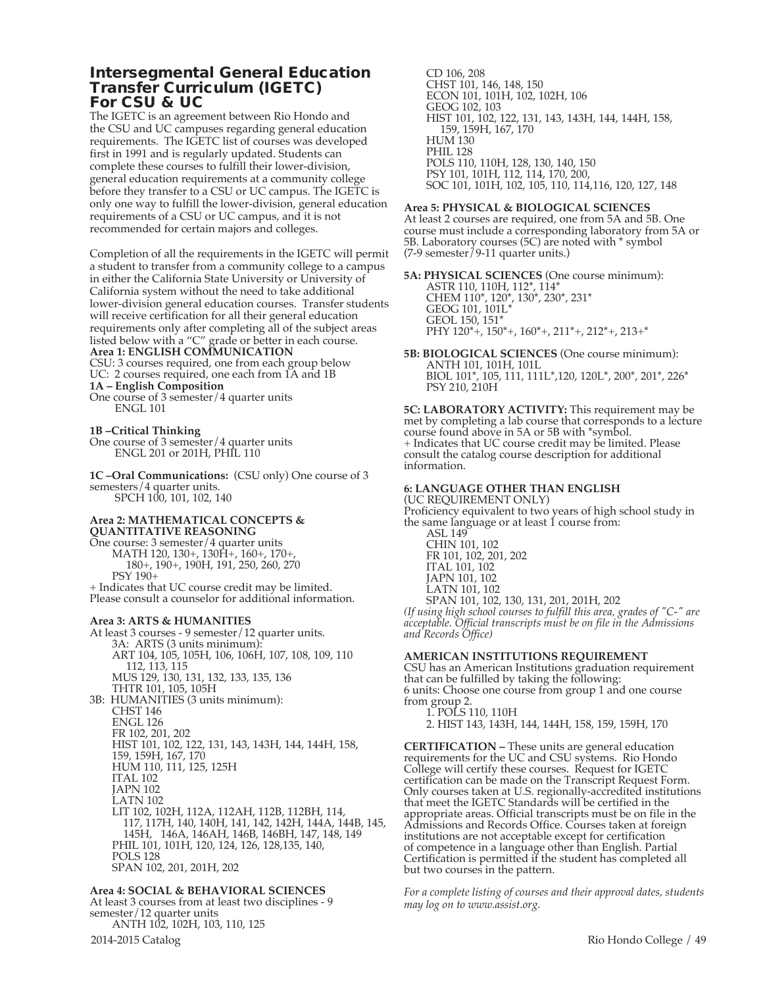### Intersegmental General Education Transfer Curriculum (IGETC) For CSU & UC

The IGETC is an agreement between Rio Hondo and the CSU and UC campuses regarding general education requirements. The IGETC list of courses was developed first in 1991 and is regularly updated. Students can complete these courses to fulfill their lower-division, general education requirements at a community college before they transfer to a CSU or UC campus. The IGETC is only one way to fulfill the lower-division, general education requirements of a CSU or UC campus, and it is not recommended for certain majors and colleges.

Completion of all the requirements in the IGETC will permit a student to transfer from a community college to a campus in either the California State University or University of California system without the need to take additional lower-division general education courses. Transfer students will receive certification for all their general education requirements only after completing all of the subject areas listed below with a "C" grade or better in each course. **Area 1: ENGLISH COMMUNICATION** CSU: 3 courses required, one from each group below UC: 2 courses required, one each from 1A and 1B **1A – English Composition** 

- One course of 3 semester/4 quarter units ENGL 101
- **1B –Critical Thinking**

One course of 3 semester/4 quarter units ENGL 201 or 201H, PHIL 110

**1C –Oral Communications:** (CSU only) One course of 3 semesters/4 quarter units.<br>SPCH 100, 101, 102, 140

#### **Area 2: MATHEMATICAL CONCEPTS & QUANTITATIVE REASONING**

One course: 3 semester/4 quarter units MATH 120, 130+, 130H+, 160+, 170+, 180+, 190+, 190H, 191, 250, 260, 270 PSY 190+

+ Indicates that UC course credit may be limited. Please consult a counselor for additional information.

#### **Area 3: ARTS & HUMANITIES**

At least 3 courses - 9 semester/12 quarter units. 3A: ARTS (3 units minimum): ART 104, 105, 105H, 106, 106H, 107, 108, 109, 110 112, 113, 115 MUS 129, 130, 131, 132, 133, 135, 136 THTR 101, 105, 105H 3B: HUMANITIES (3 units minimum): CHST 146 ENGL 126 FR 102, 201, 202 HIST 101, 102, 122, 131, 143, 143H, 144, 144H, 158, 159, 159H, 167, 170 HUM 110, 111, 125, 125H ITAL 102 JAPN 102 LATN 102 LIT 102, 102H, 112A, 112AH, 112B, 112BH, 114, 117, 117H, 140, 140H, 141, 142, 142H, 144A, 144B, 145, 145H, 146A, 146AH, 146B, 146BH, 147, 148, 149 PHIL 101, 101H, 120, 124, 126, 128,135, 140, POLS 128 SPAN 102, 201, 201H, 202

#### **Area 4: SOCIAL & BEHAVIORAL SCIENCES**

At least 3 courses from at least two disciplines - 9 semester/12 quarter units ANTH 102, 102H, 103, 110, 125

CD 106, 208 CHST 101, 146, 148, 150 ECON 101, 101H, 102, 102H, 106 GEOG 102, 103 HIST 101, 102, 122, 131, 143, 143H, 144, 144H, 158, 159, 159H, 167, 170 HUM 130 PHIL 128 POLS 110, 110H, 128, 130, 140, 150 PSY 101, 101H, 112, 114, 170, 200, SOC 101, 101H, 102, 105, 110, 114,116, 120, 127, 148

#### **Area 5: PHYSICAL & BIOLOGICAL SCIENCES**

At least 2 courses are required, one from 5A and 5B. One course must include a corresponding laboratory from 5A or 5B. Laboratory courses (5C) are noted with \* symbol (7-9 semester/9-11 quarter units.)

**5A: PHYSICAL SCIENCES** (One course minimum): ASTR 110, 110H, 112\*, 114\* CHEM 110\*, 120\*, 130\*, 230\*, 231\* GEOG 101, 101L\* GEOL 150, 151\* PHY 120\*+, 150\*+, 160\*+, 211\*+, 212\*+, 213+\*

**5B: BIOLOGICAL SCIENCES** (One course minimum): ANTH 101, 101H, 101L BIOL 101\*, 105, 111, 111L\*,120, 120L\*, 200\*, 201\*, 226\* PSY 210, 210H

**5C: LABORATORY ACTIVITY:** This requirement may be met by completing a lab course that corresponds to a lecture course found above in 5A or 5B with \*symbol. + Indicates that UC course credit may be limited. Please consult the catalog course description for additional information.

#### **6: LANGUAGE OTHER THAN ENGLISH**

(UC REQUIREMENT ONLY) Proficiency equivalent to two years of high school study in the same language or at least 1 course from:

ASL 149 CHIN 101, 102 FR 101, 102, 201, 202 ITAL 101, 102 JAPN 101, 102 LATN 101, 102

SPAN 101, 102, 130, 131, 201, 201H, 202 *(If using high school courses to fulfill this area, grades of "C-" are acceptable. Official transcripts must be on file in the Admissions and Records Office)*

#### **AMERICAN INSTITUTIONS REQUIREMENT**

CSU has an American Institutions graduation requirement that can be fulfilled by taking the following: 6 units: Choose one course from group 1 and one course from group 2.

1. POLS 110, 110H

2. HIST 143, 143H, 144, 144H, 158, 159, 159H, 170

**CERTIFICATION –** These units are general education requirements for the UC and CSU systems. Rio Hondo College will certify these courses. Request for IGETC certification can be made on the Transcript Request Form. Only courses taken at U.S. regionally-accredited institutions that meet the IGETC Standards will be certified in the appropriate areas. Official transcripts must be on file in the Admissions and Records Office. Courses taken at foreign institutions are not acceptable except for certification of competence in a language other than English. Partial Certification is permitted if the student has completed all but two courses in the pattern.

*For a complete listing of courses and their approval dates, students may log on to www.assist.org.*